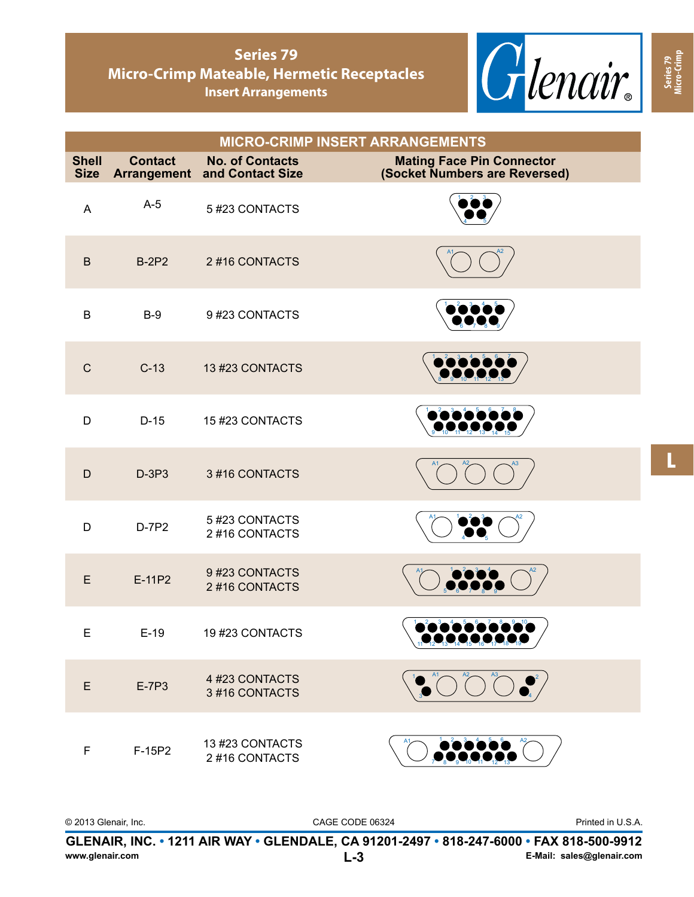

**Series 79 Micro-Crimp**

|                             |                |                                                               | <b>MICRO-CRIMP INSERT ARRANGEMENTS</b>                            |
|-----------------------------|----------------|---------------------------------------------------------------|-------------------------------------------------------------------|
| <b>Shell</b><br><b>Size</b> | <b>Contact</b> | <b>No. of Contacts</b><br><b>Arrangement and Contact Size</b> | <b>Mating Face Pin Connector</b><br>(Socket Numbers are Reversed) |
| A                           | $A-5$          | 5 #23 CONTACTS                                                |                                                                   |
| $\mathsf B$                 | <b>B-2P2</b>   | 2#16 CONTACTS                                                 |                                                                   |
| $\sf B$                     | $B-9$          | 9#23 CONTACTS                                                 |                                                                   |
| $\mathsf C$                 | $C-13$         | 13 #23 CONTACTS                                               |                                                                   |
| D                           | $D-15$         | 15 #23 CONTACTS                                               |                                                                   |
| $\mathsf D$                 | $D-3P3$        | 3#16 CONTACTS                                                 |                                                                   |
| D                           | D-7P2          | 5#23 CONTACTS<br>2#16 CONTACTS                                |                                                                   |
| E                           | E-11P2         | 9#23 CONTACTS<br>2#16 CONTACTS                                |                                                                   |
| E                           | $E-19$         | 19 #23 CONTACTS                                               | 11 12 13 14 15 16 17 18 19                                        |
| E                           | E-7P3          | 4 #23 CONTACTS<br>3#16 CONTACTS                               |                                                                   |
| F                           | F-15P2         | 13 #23 CONTACTS<br>2#16 CONTACTS                              |                                                                   |

L

**GLENAIR, INC. • 1211 AIR WAY • GLENDALE, CA 91201-2497 • 818-247-6000 • FAX 818-500-9912** Printed in U.S.A. **www.glenair.com**  © 2013 Glenair, Inc. CAGE CODE 06324 **L-3 E-Mail: sales@glenair.com**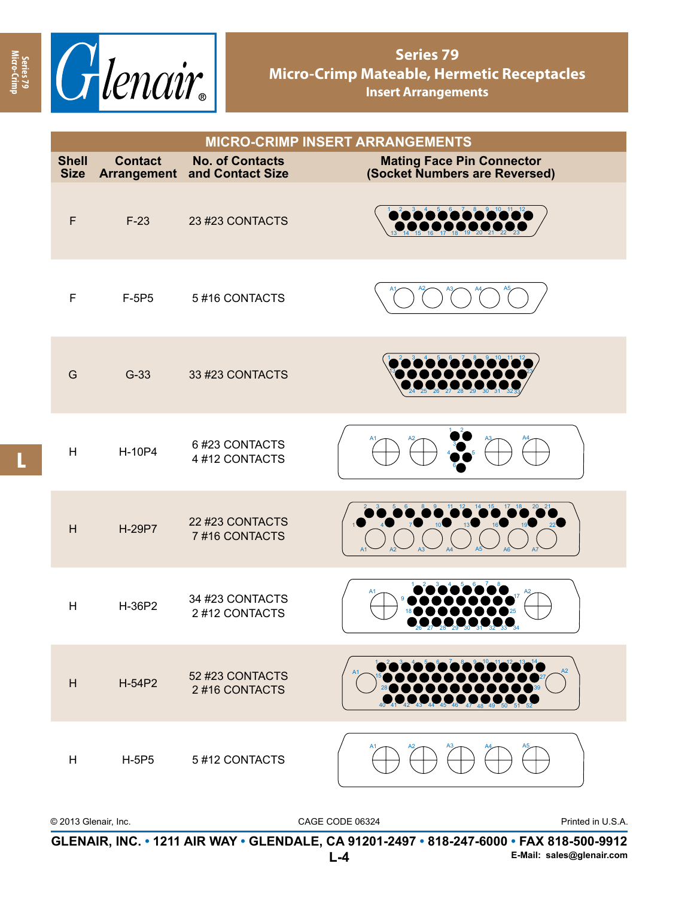

| <b>MICRO-CRIMP INSERT ARRANGEMENTS</b> |                                      |                                            |                                                                   |
|----------------------------------------|--------------------------------------|--------------------------------------------|-------------------------------------------------------------------|
| <b>Shell</b><br><b>Size</b>            | <b>Contact</b><br><b>Arrangement</b> | <b>No. of Contacts</b><br>and Contact Size | <b>Mating Face Pin Connector</b><br>(Socket Numbers are Reversed) |
| $\mathsf F$                            | $F-23$                               | 23 #23 CONTACTS                            | $8 - 9 - 10 - 11 - 12$                                            |
| F                                      | F-5P5                                | 5#16 CONTACTS                              |                                                                   |
| G                                      | $G-33$                               | 33 #23 CONTACTS                            |                                                                   |
| H                                      | H-10P4                               | 6#23 CONTACTS<br>4 #12 CONTACTS            |                                                                   |
| H                                      | H-29P7                               | 22 #23 CONTACTS<br>7#16 CONTACTS           |                                                                   |
| H                                      | H-36P2                               | 34 #23 CONTACTS<br>2 #12 CONTACTS          |                                                                   |
| H                                      | H-54P2                               | 52 #23 CONTACTS<br>2#16 CONTACTS           |                                                                   |
| H                                      | <b>H-5P5</b>                         | 5 #12 CONTACTS                             | A1                                                                |

| © 2013 Glenair. Inc. | CAGE CODE 06324                                                                          | Printed in U.S.A.         |
|----------------------|------------------------------------------------------------------------------------------|---------------------------|
|                      | GLENAIR, INC. • 1211 AIR WAY • GLENDALE, CA 91201-2497 • 818-247-6000 • FAX 818-500-9912 |                           |
|                      | l -4                                                                                     | E-Mail: sales@glenair.com |

**Series 79 Micro-Crimp**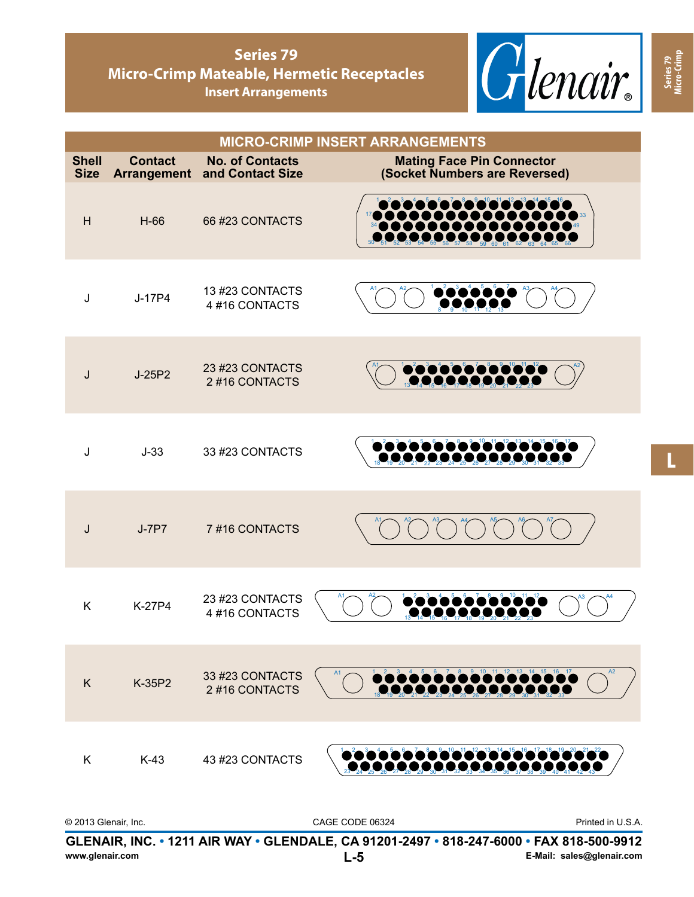

| <b>MICRO-CRIMP INSERT ARRANGEMENTS</b> |                                            |                                                                   |  |
|----------------------------------------|--------------------------------------------|-------------------------------------------------------------------|--|
| <b>Contact</b>                         | <b>No. of Contacts</b><br>and Contact Size | <b>Mating Face Pin Connector</b><br>(Socket Numbers are Reversed) |  |
| $H-66$                                 | 66 #23 CONTACTS                            |                                                                   |  |
| J-17P4                                 | 13 #23 CONTACTS<br>4#16 CONTACTS           |                                                                   |  |
| J-25P2                                 | 23 #23 CONTACTS<br>2#16 CONTACTS           | Pootoooooooooo                                                    |  |
| $J-33$                                 | 33 #23 CONTACTS                            | <u>2020202020202020</u>                                           |  |
| $J-7P7$                                | 7#16 CONTACTS                              |                                                                   |  |
| K-27P4                                 | 23 #23 CONTACTS<br>4#16 CONTACTS           |                                                                   |  |
| K-35P2                                 | 33 #23 CONTACTS<br>2#16 CONTACTS           | 8 9 10 11 12 13 14 15 16 17                                       |  |
|                                        |                                            |                                                                   |  |
|                                        |                                            | Arrangement<br>K-43 43 #23 CONTACTS                               |  |

| © 2013 Glenair, Inc. | CAGE CODE 06324                                                                          | Printed in U.S.A.         |
|----------------------|------------------------------------------------------------------------------------------|---------------------------|
|                      | GLENAIR, INC. • 1211 AIR WAY • GLENDALE, CA 91201-2497 • 818-247-6000 • FAX 818-500-9912 |                           |
| www.glenair.com      | $L-5$                                                                                    | E-Mail: sales@glenair.com |